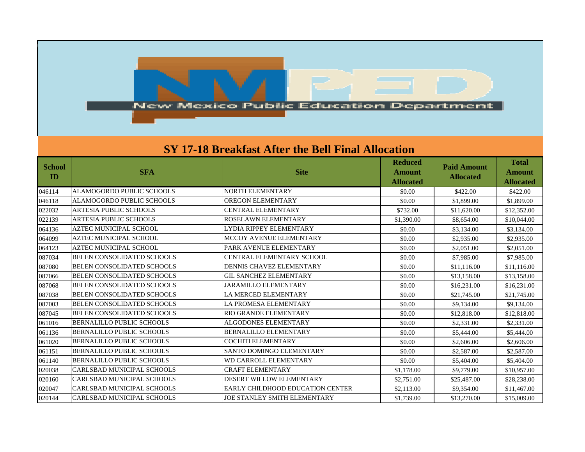

## **SY 17-18 Breakfast After the Bell Final Allocation**

| <b>School</b><br>ID | <b>SFA</b>                        | <b>Site</b>                             | <b>Reduced</b><br><b>Amount</b><br><b>Allocated</b> | <b>Paid Amount</b><br><b>Allocated</b> | <b>Total</b><br><b>Amount</b><br>Allocated |
|---------------------|-----------------------------------|-----------------------------------------|-----------------------------------------------------|----------------------------------------|--------------------------------------------|
| 046114              | ALAMOGORDO PUBLIC SCHOOLS         | NORTH ELEMENTARY                        | \$0.00                                              | \$422.00                               | \$422.00                                   |
| 046118              | <b>ALAMOGORDO PUBLIC SCHOOLS</b>  | OREGON ELEMENTARY                       | \$0.00                                              | \$1,899.00                             | \$1,899.00                                 |
| 022032              | ARTESIA PUBLIC SCHOOLS            | <b>CENTRAL ELEMENTARY</b>               | \$732.00                                            | \$11,620.00                            | \$12,352.00                                |
| 022139              | <b>ARTESIA PUBLIC SCHOOLS</b>     | ROSELAWN ELEMENTARY                     | \$1,390.00                                          | \$8,654.00                             | \$10,044.00                                |
| 064136              | AZTEC MUNICIPAL SCHOOL            | <b>LYDIA RIPPEY ELEMENTARY</b>          | \$0.00                                              | \$3,134.00                             | \$3,134.00                                 |
| 064099              | AZTEC MUNICIPAL SCHOOL            | MCCOY AVENUE ELEMENTARY                 | \$0.00                                              | \$2,935.00                             | \$2,935.00                                 |
| 064123              | AZTEC MUNICIPAL SCHOOL            | PARK AVENUE ELEMENTARY                  | \$0.00                                              | \$2,051.00                             | \$2,051.00                                 |
| 087034              | <b>BELEN CONSOLIDATED SCHOOLS</b> | CENTRAL ELEMENTARY SCHOOL               | \$0.00                                              | \$7,985.00                             | \$7,985.00                                 |
| 087080              | BELEN CONSOLIDATED SCHOOLS        | DENNIS CHAVEZ ELEMENTARY                | \$0.00                                              | \$11,116.00                            | \$11,116.00                                |
| 087066              | BELEN CONSOLIDATED SCHOOLS        | <b>GIL SANCHEZ ELEMENTARY</b>           | \$0.00                                              | \$13,158.00                            | \$13,158.00                                |
| 087068              | BELEN CONSOLIDATED SCHOOLS        | <b>JARAMILLO ELEMENTARY</b>             | \$0.00                                              | \$16,231.00                            | \$16,231.00                                |
| 087038              | <b>BELEN CONSOLIDATED SCHOOLS</b> | LA MERCED ELEMENTARY                    | \$0.00                                              | \$21,745.00                            | \$21,745.00                                |
| 087003              | BELEN CONSOLIDATED SCHOOLS        | LA PROMESA ELEMENTARY                   | \$0.00                                              | \$9,134.00                             | \$9,134.00                                 |
| 087045              | BELEN CONSOLIDATED SCHOOLS        | RIO GRANDE ELEMENTARY                   | \$0.00                                              | \$12,818.00                            | \$12,818.00                                |
| 061016              | BERNALILLO PUBLIC SCHOOLS         | ALGODONES ELEMENTARY                    | \$0.00                                              | \$2,331.00                             | \$2,331.00                                 |
| 061136              | BERNALILLO PUBLIC SCHOOLS         | <b>BERNALILLO ELEMENTARY</b>            | \$0.00                                              | \$5,444.00                             | \$5,444.00                                 |
| 061020              | <b>BERNALILLO PUBLIC SCHOOLS</b>  | <b>COCHITI ELEMENTARY</b>               | \$0.00                                              | \$2,606.00                             | \$2,606.00                                 |
| 061151              | BERNALILLO PUBLIC SCHOOLS         | <b>SANTO DOMINGO ELEMENTARY</b>         | \$0.00                                              | \$2,587.00                             | \$2,587.00                                 |
| 061140              | <b>BERNALILLO PUBLIC SCHOOLS</b>  | <b>WD CARROLL ELEMENTARY</b>            | \$0.00                                              | \$5,404.00                             | \$5,404.00                                 |
| 020038              | CARLSBAD MUNICIPAL SCHOOLS        | <b>CRAFT ELEMENTARY</b>                 | \$1,178.00                                          | \$9,779.00                             | \$10,957.00                                |
| 020160              | <b>CARLSBAD MUNICIPAL SCHOOLS</b> | DESERT WILLOW ELEMENTARY                | \$2,751.00                                          | \$25,487.00                            | \$28,238.00                                |
| 020047              | CARLSBAD MUNICIPAL SCHOOLS        | <b>EARLY CHILDHOOD EDUCATION CENTER</b> | \$2,113.00                                          | \$9,354.00                             | \$11,467.00                                |
| 020144              | CARLSBAD MUNICIPAL SCHOOLS        | <b>JOE STANLEY SMITH ELEMENTARY</b>     | \$1,739.00                                          | \$13,270.00                            | \$15,009.00                                |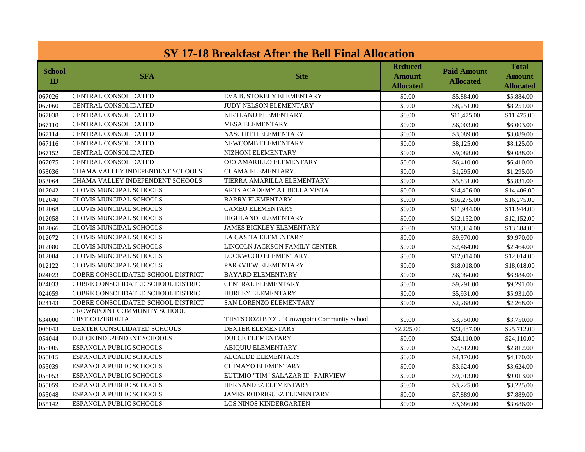| SY 17-18 Breakfast After the Bell Final Allocation |                                                 |                                                  |                                              |                                        |                                            |
|----------------------------------------------------|-------------------------------------------------|--------------------------------------------------|----------------------------------------------|----------------------------------------|--------------------------------------------|
| <b>School</b><br>ID                                | <b>SFA</b>                                      | <b>Site</b>                                      | <b>Reduced</b><br><b>Amount</b><br>Allocated | <b>Paid Amount</b><br><b>Allocated</b> | <b>Total</b><br>Amount<br><b>Allocated</b> |
| 067026                                             | <b>CENTRAL CONSOLIDATED</b>                     | EVA B. STOKELY ELEMENTARY                        | \$0.00                                       | \$5,884.00                             | \$5,884.00                                 |
| 067060                                             | <b>CENTRAL CONSOLIDATED</b>                     | <b>JUDY NELSON ELEMENTARY</b>                    | \$0.00                                       | \$8,251.00                             | \$8,251.00                                 |
| 067038                                             | CENTRAL CONSOLIDATED                            | <b>KIRTLAND ELEMENTARY</b>                       | \$0.00                                       | \$11,475.00                            | \$11,475.00                                |
| 067110                                             | <b>CENTRAL CONSOLIDATED</b>                     | <b>MESA ELEMENTARY</b>                           | \$0.00                                       | \$6,003.00                             | \$6,003.00                                 |
| 067114                                             | CENTRAL CONSOLIDATED                            | NASCHITTI ELEMENTARY                             | \$0.00                                       | \$3,089.00                             | \$3,089.00                                 |
| 067116                                             | <b>CENTRAL CONSOLIDATED</b>                     | NEWCOMB ELEMENTARY                               | \$0.00                                       | \$8,125.00                             | \$8,125.00                                 |
| 067152                                             | <b>CENTRAL CONSOLIDATED</b>                     | NIZHONI ELEMENTARY                               | \$0.00                                       | \$9,088.00                             | \$9,088.00                                 |
| 067075                                             | <b>CENTRAL CONSOLIDATED</b>                     | <b>OJO AMARILLO ELEMENTARY</b>                   | \$0.00                                       | \$6,410.00                             | \$6,410.00                                 |
| 053036                                             | CHAMA VALLEY INDEPENDENT SCHOOLS                | <b>CHAMA ELEMENTARY</b>                          | \$0.00                                       | \$1,295.00                             | \$1,295.00                                 |
| 053064                                             | CHAMA VALLEY INDEPENDENT SCHOOLS                | TIERRA AMARILLA ELEMENTARY                       | \$0.00                                       | \$5,831.00                             | \$5,831.00                                 |
| 012042                                             | CLOVIS MUNCIPAL SCHOOLS                         | ARTS ACADEMY AT BELLA VISTA                      | \$0.00                                       | \$14,406.00                            | \$14,406.00                                |
| 012040                                             | CLOVIS MUNCIPAL SCHOOLS                         | <b>BARRY ELEMENTARY</b>                          | \$0.00                                       | \$16,275.00                            | \$16,275.00                                |
| 012068                                             | CLOVIS MUNCIPAL SCHOOLS                         | <b>CAMEO ELEMENTARY</b>                          | \$0.00                                       | \$11,944.00                            | \$11,944.00                                |
| 012058                                             | CLOVIS MUNCIPAL SCHOOLS                         | HIGHLAND ELEMENTARY                              | \$0.00                                       | \$12,152.00                            | \$12,152.00                                |
| 012066                                             | <b>CLOVIS MUNCIPAL SCHOOLS</b>                  | <b>JAMES BICKLEY ELEMENTARY</b>                  | \$0.00                                       | \$13,384.00                            | \$13,384.00                                |
| 012072                                             | <b>CLOVIS MUNCIPAL SCHOOLS</b>                  | LA CASITA ELEMENTARY                             | \$0.00                                       | \$9,970.00                             | \$9,970.00                                 |
| 012080                                             | <b>CLOVIS MUNCIPAL SCHOOLS</b>                  | LINCOLN JACKSON FAMILY CENTER                    | \$0.00                                       | \$2,464.00                             | \$2,464.00                                 |
| 012084                                             | <b>CLOVIS MUNCIPAL SCHOOLS</b>                  | <b>LOCKWOOD ELEMENTARY</b>                       | \$0.00                                       | \$12,014.00                            | \$12,014.00                                |
| 012122                                             | <b>CLOVIS MUNCIPAL SCHOOLS</b>                  | PARKVIEW ELEMENTARY                              | \$0.00                                       | \$18,018.00                            | \$18,018.00                                |
| 024023                                             | COBRE CONSOLIDATED SCHOOL DISTRICT              | <b>BAYARD ELEMENTARY</b>                         | \$0.00                                       | \$6,984.00                             | \$6,984.00                                 |
| 024033                                             | COBRE CONSOLIDATED SCHOOL DISTRICT              | <b>CENTRAL ELEMENTARY</b>                        | \$0.00                                       | \$9,291.00                             | \$9,291.00                                 |
| 024059                                             | COBRE CONSOLIDATED SCHOOL DISTRICT              | <b>HURLEY ELEMENTARY</b>                         | \$0.00                                       | \$5,931.00                             | \$5,931.00                                 |
| 024143                                             | COBRE CONSOLIDATED SCHOOL DISTRICT              | SAN LORENZO ELEMENTARY                           | \$0.00                                       | \$2,268.00                             | \$2,268.00                                 |
| 634000                                             | CROWNPOINT COMMUNITY SCHOOL<br>TIISTIOOZIBIOLTA | T'IISTS'OOZI BI'O'LT Crownpoint Community School | \$0.00                                       | \$3,750.00                             | \$3,750.00                                 |
| 006043                                             | DEXTER CONSOLIDATED SCHOOLS                     | <b>DEXTER ELEMENTARY</b>                         | \$2,225.00                                   | \$23,487.00                            | \$25,712.00                                |
| 054044                                             | <b>DULCE INDEPENDENT SCHOOLS</b>                | <b>DULCE ELEMENTARY</b>                          | \$0.00                                       | \$24,110.00                            | \$24,110.00                                |
| 055005                                             | ESPANOLA PUBLIC SCHOOLS                         | <b>ABIOUIU ELEMENTARY</b>                        | \$0.00                                       | \$2,812.00                             | \$2,812.00                                 |
| 055015                                             | ESPANOLA PUBLIC SCHOOLS                         | <b>ALCALDE ELEMENTARY</b>                        | \$0.00                                       | \$4,170.00                             | \$4,170.00                                 |
| 055039                                             | ESPANOLA PUBLIC SCHOOLS                         | <b>CHIMAYO ELEMENTARY</b>                        | \$0.00                                       | \$3,624.00                             | \$3,624.00                                 |
| 055053                                             | ESPANOLA PUBLIC SCHOOLS                         | EUTIMIO "TIM" SALAZAR III FAIRVIEW               | \$0.00                                       | \$9,013.00                             | \$9,013.00                                 |
| 055059                                             | ESPANOLA PUBLIC SCHOOLS                         | HERNANDEZ ELEMENTARY                             | \$0.00                                       | \$3,225.00                             | \$3,225.00                                 |
| 055048                                             | ESPANOLA PUBLIC SCHOOLS                         | <b>JAMES RODRIGUEZ ELEMENTARY</b>                | \$0.00                                       | \$7,889.00                             | \$7,889.00                                 |
| 055142                                             | <b>ESPANOLA PUBLIC SCHOOLS</b>                  | <b>LOS NINOS KINDERGARTEN</b>                    | \$0.00                                       | \$3,686.00                             | \$3,686.00                                 |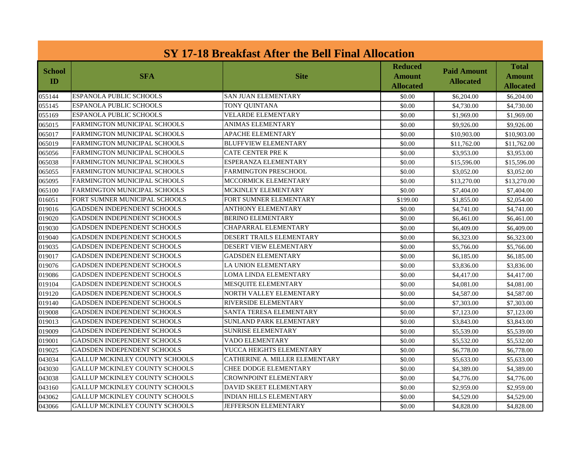| SY 17-18 Breakfast After the Bell Final Allocation |                                       |                                 |                                       |                                        |                                            |
|----------------------------------------------------|---------------------------------------|---------------------------------|---------------------------------------|----------------------------------------|--------------------------------------------|
| <b>School</b><br>ID                                | <b>SFA</b>                            | <b>Site</b>                     | Reduced<br><b>Amount</b><br>Allocated | <b>Paid Amount</b><br><b>Allocated</b> | <b>Total</b><br>Amount<br><b>Allocated</b> |
| 055144                                             | ESPANOLA PUBLIC SCHOOLS               | <b>SAN JUAN ELEMENTARY</b>      | \$0.00                                | \$6,204.00                             | \$6,204.00                                 |
| 055145                                             | ESPANOLA PUBLIC SCHOOLS               | <b>TONY QUINTANA</b>            | \$0.00                                | \$4,730.00                             | \$4,730.00                                 |
| 055169                                             | ESPANOLA PUBLIC SCHOOLS               | <b>VELARDE ELEMENTARY</b>       | \$0.00                                | \$1,969.00                             | \$1,969.00                                 |
| 065015                                             | <b>FARMINGTON MUNICIPAL SCHOOLS</b>   | <b>ANIMAS ELEMENTARY</b>        | \$0.00                                | \$9,926.00                             | \$9,926.00                                 |
| 065017                                             | <b>FARMINGTON MUNICIPAL SCHOOLS</b>   | <b>APACHE ELEMENTARY</b>        | \$0.00                                | \$10,903.00                            | \$10,903.00                                |
| 065019                                             | FARMINGTON MUNICIPAL SCHOOLS          | <b>BLUFFVIEW ELEMENTARY</b>     | \$0.00                                | \$11,762.00                            | \$11,762.00                                |
| 065056                                             | <b>FARMINGTON MUNICIPAL SCHOOLS</b>   | <b>CATE CENTER PRE K</b>        | \$0.00                                | \$3,953.00                             | \$3,953.00                                 |
| 065038                                             | <b>FARMINGTON MUNICIPAL SCHOOLS</b>   | ESPERANZA ELEMENTARY            | \$0.00                                | \$15,596.00                            | \$15,596.00                                |
| 065055                                             | <b>FARMINGTON MUNICIPAL SCHOOLS</b>   | FARMINGTON PRESCHOOL            | \$0.00                                | \$3,052.00                             | \$3,052.00                                 |
| 065095                                             | <b>FARMINGTON MUNICIPAL SCHOOLS</b>   | MCCORMICK ELEMENTARY            | \$0.00                                | \$13,270.00                            | \$13,270.00                                |
| 065100                                             | FARMINGTON MUNICIPAL SCHOOLS          | MCKINLEY ELEMENTARY             | \$0.00                                | \$7,404.00                             | \$7,404.00                                 |
| 016051                                             | FORT SUMNER MUNICIPAL SCHOOLS         | FORT SUMNER ELEMENTARY          | \$199.00                              | \$1,855.00                             | \$2,054.00                                 |
| 019016                                             | <b>GADSDEN INDEPENDENT SCHOOLS</b>    | <b>ANTHONY ELEMENTARY</b>       | \$0.00                                | \$4,741.00                             | \$4,741.00                                 |
| 019020                                             | <b>GADSDEN INDEPENDENT SCHOOLS</b>    | <b>BERINO ELEMENTARY</b>        | \$0.00                                | \$6,461.00                             | \$6,461.00                                 |
| 019030                                             | <b>GADSDEN INDEPENDENT SCHOOLS</b>    | CHAPARRAL ELEMENTARY            | \$0.00                                | \$6,409.00                             | \$6,409.00                                 |
| 019040                                             | <b>GADSDEN INDEPENDENT SCHOOLS</b>    | <b>DESERT TRAILS ELEMENTARY</b> | \$0.00                                | \$6,323,00                             | \$6,323.00                                 |
| 019035                                             | <b>GADSDEN INDEPENDENT SCHOOLS</b>    | DESERT VIEW ELEMENTARY          | \$0.00                                | \$5,766.00                             | \$5,766.00                                 |
| 019017                                             | <b>GADSDEN INDEPENDENT SCHOOLS</b>    | <b>GADSDEN ELEMENTARY</b>       | \$0.00                                | \$6,185.00                             | \$6,185.00                                 |
| 019076                                             | GADSDEN INDEPENDENT SCHOOLS           | <b>LA UNION ELEMENTARY</b>      | \$0.00                                | \$3,836.00                             | \$3,836.00                                 |
| 019086                                             | <b>GADSDEN INDEPENDENT SCHOOLS</b>    | LOMA LINDA ELEMENTARY           | \$0.00                                | \$4,417.00                             | \$4,417.00                                 |
| 019104                                             | <b>GADSDEN INDEPENDENT SCHOOLS</b>    | <b>MESQUITE ELEMENTARY</b>      | \$0.00                                | \$4,081.00                             | \$4,081.00                                 |
| 019120                                             | <b>GADSDEN INDEPENDENT SCHOOLS</b>    | NORTH VALLEY ELEMENTARY         | \$0.00                                | \$4,587.00                             | \$4,587.00                                 |
| 019140                                             | <b>GADSDEN INDEPENDENT SCHOOLS</b>    | <b>RIVERSIDE ELEMENTARY</b>     | \$0.00                                | \$7,303.00                             | \$7,303.00                                 |
| 019008                                             | <b>GADSDEN INDEPENDENT SCHOOLS</b>    | <b>SANTA TERESA ELEMENTARY</b>  | \$0.00                                | \$7,123.00                             | \$7,123.00                                 |
| 019013                                             | <b>GADSDEN INDEPENDENT SCHOOLS</b>    | <b>SUNLAND PARK ELEMENTARY</b>  | \$0.00                                | \$3,843.00                             | \$3,843.00                                 |
| 019009                                             | <b>GADSDEN INDEPENDENT SCHOOLS</b>    | <b>SUNRISE ELEMENTARY</b>       | \$0.00                                | \$5,539.00                             | \$5,539.00                                 |
| 019001                                             | <b>GADSDEN INDEPENDENT SCHOOLS</b>    | <b>VADO ELEMENTARY</b>          | \$0.00                                | \$5,532.00                             | \$5,532.00                                 |
| 019025                                             | <b>GADSDEN INDEPENDENT SCHOOLS</b>    | YUCCA HEIGHTS ELEMENTARY        | \$0.00                                | \$6,778.00                             | \$6,778.00                                 |
| 043034                                             | GALLUP MCKINLEY COUNTY SCHOOLS        | CATHERINE A. MILLER ELEMENTARY  | \$0.00                                | \$5,633.00                             | \$5,633.00                                 |
| 043030                                             | GALLUP MCKINLEY COUNTY SCHOOLS        | <b>CHEE DODGE ELEMENTARY</b>    | \$0.00                                | \$4,389.00                             | \$4,389.00                                 |
| 043038                                             | <b>GALLUP MCKINLEY COUNTY SCHOOLS</b> | <b>CROWNPOINT ELEMENTARY</b>    | \$0.00                                | \$4,776.00                             | \$4,776.00                                 |
| 043160                                             | <b>GALLUP MCKINLEY COUNTY SCHOOLS</b> | DAVID SKEET ELEMENTARY          | \$0.00                                | \$2,959.00                             | \$2,959.00                                 |
| 043062                                             | <b>GALLUP MCKINLEY COUNTY SCHOOLS</b> | <b>INDIAN HILLS ELEMENTARY</b>  | \$0.00                                | \$4,529.00                             | \$4,529.00                                 |
| 043066                                             | <b>GALLUP MCKINLEY COUNTY SCHOOLS</b> | <b>JEFFERSON ELEMENTARY</b>     | \$0.00                                | \$4,828.00                             | \$4,828.00                                 |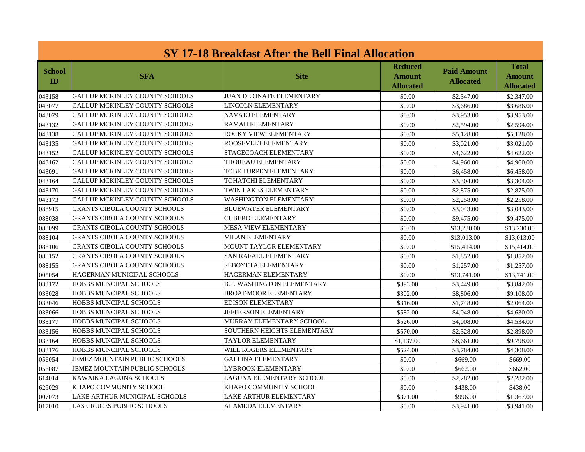| SY 17-18 Breakfast After the Bell Final Allocation |                                       |                                    |                                       |                                        |                                     |
|----------------------------------------------------|---------------------------------------|------------------------------------|---------------------------------------|----------------------------------------|-------------------------------------|
| <b>School</b><br>ID                                | <b>SFA</b>                            | <b>Site</b>                        | <b>Reduced</b><br>Amount<br>Allocated | <b>Paid Amount</b><br><b>Allocated</b> | Total<br>Amount<br><b>Allocated</b> |
| 043158                                             | <b>GALLUP MCKINLEY COUNTY SCHOOLS</b> | <b>JUAN DE ONATE ELEMENTARY</b>    | \$0.00                                | \$2,347.00                             | \$2,347.00                          |
| 043077                                             | GALLUP MCKINLEY COUNTY SCHOOLS        | <b>LINCOLN ELEMENTARY</b>          | \$0.00                                | \$3,686.00                             | \$3,686.00                          |
| 043079                                             | <b>GALLUP MCKINLEY COUNTY SCHOOLS</b> | <b>NAVAJO ELEMENTARY</b>           | \$0.00                                | \$3,953.00                             | \$3,953.00                          |
| 043132                                             | <b>GALLUP MCKINLEY COUNTY SCHOOLS</b> | <b>RAMAH ELEMENTARY</b>            | \$0.00                                | \$2,594.00                             | \$2,594.00                          |
| 043138                                             | <b>GALLUP MCKINLEY COUNTY SCHOOLS</b> | <b>ROCKY VIEW ELEMENTARY</b>       | \$0.00                                | \$5,128.00                             | \$5,128.00                          |
| 043135                                             | <b>GALLUP MCKINLEY COUNTY SCHOOLS</b> | ROOSEVELT ELEMENTARY               | \$0.00                                | \$3,021.00                             | \$3,021.00                          |
| 043152                                             | <b>GALLUP MCKINLEY COUNTY SCHOOLS</b> | STAGECOACH ELEMENTARY              | \$0.00                                | \$4,622.00                             | \$4,622.00                          |
| 043162                                             | <b>GALLUP MCKINLEY COUNTY SCHOOLS</b> | THOREAU ELEMENTARY                 | \$0.00                                | \$4,960.00                             | \$4,960.00                          |
| 043091                                             | <b>GALLUP MCKINLEY COUNTY SCHOOLS</b> | TOBE TURPEN ELEMENTARY             | \$0.00                                | \$6,458.00                             | \$6,458,00                          |
| 043164                                             | <b>GALLUP MCKINLEY COUNTY SCHOOLS</b> | TOHATCHI ELEMENTARY                | \$0.00                                | \$3,304.00                             | \$3,304.00                          |
| 043170                                             | <b>GALLUP MCKINLEY COUNTY SCHOOLS</b> | TWIN LAKES ELEMENTARY              | \$0.00                                | \$2,875.00                             | \$2,875.00                          |
| 043173                                             | <b>GALLUP MCKINLEY COUNTY SCHOOLS</b> | <b>WASHINGTON ELEMENTARY</b>       | \$0.00                                | \$2,258.00                             | \$2,258.00                          |
| 088915                                             | <b>GRANTS CIBOLA COUNTY SCHOOLS</b>   | <b>BLUEWATER ELEMENTARY</b>        | \$0.00                                | \$3,043.00                             | \$3,043.00                          |
| 088038                                             | <b>GRANTS CIBOLA COUNTY SCHOOLS</b>   | <b>CUBERO ELEMENTARY</b>           | \$0.00                                | \$9,475.00                             | \$9,475.00                          |
| 088099                                             | <b>GRANTS CIBOLA COUNTY SCHOOLS</b>   | <b>MESA VIEW ELEMENTARY</b>        | \$0.00                                | \$13,230.00                            | \$13,230.00                         |
| 088104                                             | <b>GRANTS CIBOLA COUNTY SCHOOLS</b>   | <b>MILAN ELEMENTARY</b>            | \$0.00                                | \$13,013.00                            | \$13,013.00                         |
| 088106                                             | <b>GRANTS CIBOLA COUNTY SCHOOLS</b>   | MOUNT TAYLOR ELEMENTARY            | \$0.00                                | \$15,414.00                            | \$15,414.00                         |
| 088152                                             | <b>GRANTS CIBOLA COUNTY SCHOOLS</b>   | <b>SAN RAFAEL ELEMENTARY</b>       | \$0.00                                | \$1,852.00                             | \$1,852.00                          |
| 088155                                             | <b>GRANTS CIBOLA COUNTY SCHOOLS</b>   | SEBOYETA ELEMENTARY                | \$0.00                                | \$1,257.00                             | \$1,257.00                          |
| 005054                                             | <b>HAGERMAN MUNICIPAL SCHOOLS</b>     | HAGERMAN ELEMENTARY                | \$0.00                                | \$13,741.00                            | \$13,741.00                         |
| 033172                                             | <b>HOBBS MUNCIPAL SCHOOLS</b>         | <b>B.T. WASHINGTON ELEMENTARY</b>  | \$393.00                              | \$3,449.00                             | \$3,842.00                          |
| 033028                                             | HOBBS MUNCIPAL SCHOOLS                | <b>BROADMOOR ELEMENTARY</b>        | \$302.00                              | \$8,806.00                             | \$9,108.00                          |
| 033046                                             | <b>HOBBS MUNCIPAL SCHOOLS</b>         | <b>EDISON ELEMENTARY</b>           | \$316.00                              | \$1,748.00                             | \$2,064.00                          |
| 033066                                             | <b>HOBBS MUNCIPAL SCHOOLS</b>         | <b>JEFFERSON ELEMENTARY</b>        | \$582.00                              | \$4,048.00                             | \$4,630.00                          |
| 033177                                             | <b>HOBBS MUNCIPAL SCHOOLS</b>         | MURRAY ELEMENTARY SCHOOL           | \$526.00                              | \$4,008.00                             | \$4,534.00                          |
| 033156                                             | HOBBS MUNCIPAL SCHOOLS                | <b>SOUTHERN HEIGHTS ELEMENTARY</b> | \$570.00                              | \$2,328.00                             | \$2,898.00                          |
| 033164                                             | <b>HOBBS MUNCIPAL SCHOOLS</b>         | <b>TAYLOR ELEMENTARY</b>           | \$1,137.00                            | \$8,661.00                             | \$9,798.00                          |
| 033176                                             | HOBBS MUNCIPAL SCHOOLS                | WILL ROGERS ELEMENTARY             | \$524.00                              | \$3,784.00                             | \$4,308.00                          |
| 056054                                             | JEMEZ MOUNTAIN PUBLIC SCHOOLS         | <b>GALLINA ELEMENTARY</b>          | \$0.00                                | \$669.00                               | \$669.00                            |
| 056087                                             | JEMEZ MOUNTAIN PUBLIC SCHOOLS         | <b>LYBROOK ELEMENTARY</b>          | \$0.00                                | \$662.00                               | \$662.00                            |
| 614014                                             | KAWAIKA LAGUNA SCHOOLS                | LAGUNA ELEMENTARY SCHOOL           | \$0.00                                | \$2,282.00                             | \$2,282.00                          |
| 629029                                             | KHAPO COMMUNITY SCHOOL                | KHAPO COMMUNITY SCHOOL             | \$0.00                                | \$438.00                               | \$438.00                            |
| 007073                                             | LAKE ARTHUR MUNICIPAL SCHOOLS         | <b>LAKE ARTHUR ELEMENTARY</b>      | \$371.00                              | \$996.00                               | \$1,367.00                          |
| 017010                                             | <b>LAS CRUCES PUBLIC SCHOOLS</b>      | <b>ALAMEDA ELEMENTARY</b>          | \$0.00                                | \$3,941.00                             | \$3,941.00                          |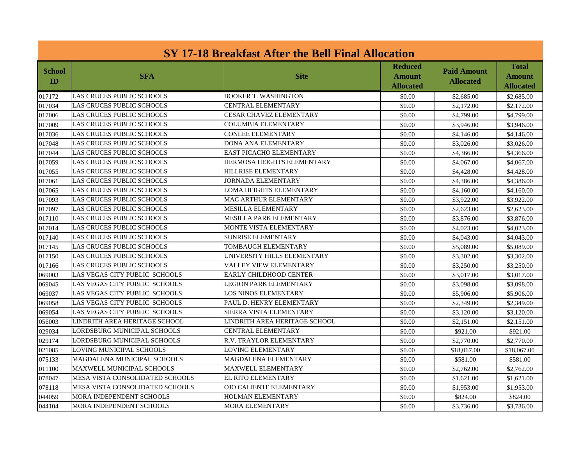| SY 17-18 Breakfast After the Bell Final Allocation |                                 |                                |                                              |                                        |                                            |
|----------------------------------------------------|---------------------------------|--------------------------------|----------------------------------------------|----------------------------------------|--------------------------------------------|
| <b>School</b><br><b>ID</b>                         | <b>SFA</b>                      | <b>Site</b>                    | <b>Reduced</b><br><b>Amount</b><br>Allocated | <b>Paid Amount</b><br><b>Allocated</b> | <b>Total</b><br>Amount<br><b>Allocated</b> |
| 017172                                             | LAS CRUCES PUBLIC SCHOOLS       | <b>BOOKER T. WASHINGTON</b>    | \$0.00                                       | \$2,685.00                             | \$2,685.00                                 |
| 017034                                             | LAS CRUCES PUBLIC SCHOOLS       | <b>CENTRAL ELEMENTARY</b>      | \$0.00                                       | \$2,172.00                             | \$2,172.00                                 |
| 017006                                             | LAS CRUCES PUBLIC SCHOOLS       | <b>CESAR CHAVEZ ELEMENTARY</b> | \$0.00                                       | \$4,799.00                             | \$4,799.00                                 |
| 017009                                             | LAS CRUCES PUBLIC SCHOOLS       | <b>COLUMBIA ELEMENTARY</b>     | \$0.00                                       | \$3,946.00                             | \$3,946.00                                 |
| 017036                                             | LAS CRUCES PUBLIC SCHOOLS       | <b>CONLEE ELEMENTARY</b>       | \$0.00                                       | \$4,146.00                             | \$4,146.00                                 |
| 017048                                             | LAS CRUCES PUBLIC SCHOOLS       | <b>DONA ANA ELEMENTARY</b>     | \$0.00                                       | \$3,026.00                             | \$3,026.00                                 |
| 017044                                             | LAS CRUCES PUBLIC SCHOOLS       | <b>EAST PICACHO ELEMENTARY</b> | \$0.00                                       | \$4,366.00                             | \$4,366.00                                 |
| 017059                                             | LAS CRUCES PUBLIC SCHOOLS       | HERMOSA HEIGHTS ELEMENTARY     | \$0.00                                       | \$4,067.00                             | \$4,067.00                                 |
| 017055                                             | LAS CRUCES PUBLIC SCHOOLS       | HILLRISE ELEMENTARY            | \$0.00                                       | \$4,428.00                             | \$4,428.00                                 |
| 017061                                             | LAS CRUCES PUBLIC SCHOOLS       | <b>JORNADA ELEMENTARY</b>      | \$0.00                                       | \$4,386.00                             | \$4,386.00                                 |
| 017065                                             | LAS CRUCES PUBLIC SCHOOLS       | LOMA HEIGHTS ELEMENTARY        | \$0.00                                       | \$4,160.00                             | \$4,160.00                                 |
| 017093                                             | LAS CRUCES PUBLIC SCHOOLS       | MAC ARTHUR ELEMENTARY          | \$0.00                                       | \$3,922.00                             | \$3,922.00                                 |
| 017097                                             | LAS CRUCES PUBLIC SCHOOLS       | <b>MESILLA ELEMENTARY</b>      | \$0.00                                       | \$2,623.00                             | \$2,623.00                                 |
| 017110                                             | LAS CRUCES PUBLIC SCHOOLS       | <b>MESILLA PARK ELEMENTARY</b> | \$0.00                                       | \$3,876.00                             | \$3,876.00                                 |
| 017014                                             | LAS CRUCES PUBLIC SCHOOLS       | <b>MONTE VISTA ELEMENTARY</b>  | \$0.00                                       | \$4,023.00                             | \$4,023.00                                 |
| 017140                                             | LAS CRUCES PUBLIC SCHOOLS       | <b>SUNRISE ELEMENTARY</b>      | \$0.00                                       | \$4,043.00                             | \$4,043.00                                 |
| 017145                                             | LAS CRUCES PUBLIC SCHOOLS       | <b>TOMBAUGH ELEMENTARY</b>     | \$0.00                                       | \$5,089.00                             | \$5,089.00                                 |
| 017150                                             | LAS CRUCES PUBLIC SCHOOLS       | UNIVERSITY HILLS ELEMENTARY    | \$0.00                                       | \$3,302.00                             | \$3,302.00                                 |
| 017166                                             | LAS CRUCES PUBLIC SCHOOLS       | <b>VALLEY VIEW ELEMENTARY</b>  | \$0.00                                       | \$3,250.00                             | \$3,250.00                                 |
| 069003                                             | LAS VEGAS CITY PUBLIC SCHOOLS   | EARLY CHILDHOOD CENTER         | \$0.00                                       | \$3,017.00                             | \$3,017.00                                 |
| 069045                                             | LAS VEGAS CITY PUBLIC  SCHOOLS  | <b>LEGION PARK ELEMENTARY</b>  | \$0.00                                       | \$3,098.00                             | \$3,098.00                                 |
| 069037                                             | LAS VEGAS CITY PUBLIC  SCHOOLS  | <b>LOS NINOS ELEMENTARY</b>    | \$0.00                                       | \$5,906.00                             | \$5,906.00                                 |
| 069058                                             | LAS VEGAS CITY PUBLIC SCHOOLS   | PAUL D. HENRY ELEMENTARY       | \$0.00                                       | \$2,349.00                             | \$2,349.00                                 |
| 069054                                             | LAS VEGAS CITY PUBLIC SCHOOLS   | SIERRA VISTA ELEMENTARY        | \$0.00                                       | \$3,120.00                             | \$3,120.00                                 |
| 056003                                             | LINDRITH AREA HERITAGE SCHOOL   | LINDRITH AREA HERITAGE SCHOOL  | \$0.00                                       | \$2,151.00                             | \$2,151.00                                 |
| 029034                                             | LORDSBURG MUNICIPAL SCHOOLS     | <b>CENTRAL ELEMENTARY</b>      | \$0.00                                       | \$921.00                               | \$921.00                                   |
| 029174                                             | LORDSBURG MUNICIPAL SCHOOLS     | <b>R.V. TRAYLOR ELEMENTARY</b> | \$0.00                                       | \$2,770.00                             | \$2,770.00                                 |
| 021085                                             | LOVING MUNICIPAL SCHOOLS        | <b>LOVING ELEMENTARY</b>       | \$0.00                                       | \$18,067.00                            | \$18,067.00                                |
| 075133                                             | MAGDALENA MUNICIPAL SCHOOLS     | MAGDALENA ELEMENTARY           | \$0.00                                       | \$581.00                               | \$581.00                                   |
| 011100                                             | MAXWELL MUNICIPAL SCHOOLS       | <b>MAXWELL ELEMENTARY</b>      | \$0.00                                       | \$2,762.00                             | \$2,762.00                                 |
| 078047                                             | MESA VISTA CONSOLIDATED SCHOOLS | <b>EL RITO ELEMENTARY</b>      | \$0.00                                       | \$1,621.00                             | \$1,621.00                                 |
| 078118                                             | MESA VISTA CONSOLIDATED SCHOOLS | <b>OJO CALIENTE ELEMENTARY</b> | \$0.00                                       | \$1,953.00                             | \$1,953.00                                 |
| 044059                                             | MORA INDEPENDENT SCHOOLS        | <b>HOLMAN ELEMENTARY</b>       | \$0.00                                       | \$824.00                               | \$824.00                                   |
| 044104                                             | MORA INDEPENDENT SCHOOLS        | <b>MORA ELEMENTARY</b>         | \$0.00                                       | \$3,736.00                             | \$3,736.00                                 |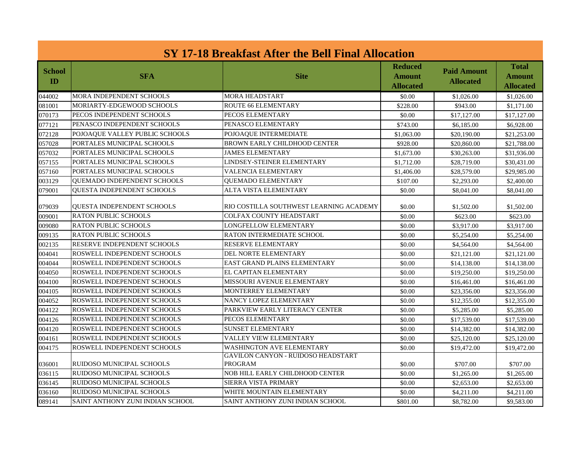| SY 17-18 Breakfast After the Bell Final Allocation |                                    |                                                             |                                              |                                        |                                                   |
|----------------------------------------------------|------------------------------------|-------------------------------------------------------------|----------------------------------------------|----------------------------------------|---------------------------------------------------|
| <b>School</b><br><b>ID</b>                         | <b>SFA</b>                         | <b>Site</b>                                                 | <b>Reduced</b><br><b>Amount</b><br>Allocated | <b>Paid Amount</b><br><b>Allocated</b> | <b>Total</b><br><b>Amount</b><br><b>Allocated</b> |
| 044002                                             | MORA INDEPENDENT SCHOOLS           | <b>MORA HEADSTART</b>                                       | \$0.00                                       | \$1,026.00                             | \$1,026.00                                        |
| 081001                                             | MORIARTY-EDGEWOOD SCHOOLS          | <b>ROUTE 66 ELEMENTARY</b>                                  | \$228.00                                     | \$943.00                               | \$1,171.00                                        |
| 070173                                             | PECOS INDEPENDENT SCHOOLS          | PECOS ELEMENTARY                                            | \$0.00                                       | \$17,127.00                            | \$17,127.00                                       |
| 077121                                             | PENASCO INDEPENDENT SCHOOLS        | PENASCO ELEMENTARY                                          | \$743.00                                     | \$6,185.00                             | \$6,928.00                                        |
| 072128                                             | POJOAQUE VALLEY PUBLIC SCHOOLS     | POJOAQUE INTERMEDIATE                                       | \$1,063.00                                   | \$20,190.00                            | \$21,253.00                                       |
| 057028                                             | PORTALES MUNICIPAL SCHOOLS         | <b>BROWN EARLY CHILDHOOD CENTER</b>                         | \$928.00                                     | \$20,860.00                            | \$21,788.00                                       |
| 057032                                             | PORTALES MUNICIPAL SCHOOLS         | <b>JAMES ELEMENTARY</b>                                     | \$1,673.00                                   | \$30,263.00                            | \$31,936.00                                       |
| 057155                                             | PORTALES MUNICIPAL SCHOOLS         | LINDSEY-STEINER ELEMENTARY                                  | \$1,712.00                                   | \$28,719.00                            | \$30,431.00                                       |
| 057160                                             | PORTALES MUNICIPAL SCHOOLS         | VALENCIA ELEMENTARY                                         | \$1,406.00                                   | \$28,579.00                            | \$29,985.00                                       |
| 003129                                             | <b>OUEMADO INDEPENDENT SCHOOLS</b> | <b>OUEMADO ELEMENTARY</b>                                   | \$107.00                                     | \$2,293.00                             | \$2,400.00                                        |
| 079001                                             | <b>OUESTA INDEPENDENT SCHOOLS</b>  | ALTA VISTA ELEMENTARY                                       | \$0.00                                       | \$8,041.00                             | \$8,041.00                                        |
| 079039                                             | <b>OUESTA INDEPENDENT SCHOOLS</b>  | RIO COSTILLA SOUTHWEST LEARNING ACADEMY                     | \$0.00                                       | \$1,502.00                             | \$1,502.00                                        |
| 009001                                             | <b>RATON PUBLIC SCHOOLS</b>        | <b>COLFAX COUNTY HEADSTART</b>                              | \$0.00                                       | \$623.00                               | \$623.00                                          |
| 009080                                             | <b>RATON PUBLIC SCHOOLS</b>        | <b>LONGFELLOW ELEMENTARY</b>                                | \$0.00                                       | \$3,917.00                             | \$3,917.00                                        |
| 009135                                             | <b>RATON PUBLIC SCHOOLS</b>        | RATON INTERMEDIATE SCHOOL                                   | \$0.00                                       | \$5,254.00                             | \$5,254.00                                        |
| 002135                                             | RESERVE INDEPENDENT SCHOOLS        | <b>RESERVE ELEMENTARY</b>                                   | \$0.00                                       | \$4,564.00                             | \$4,564.00                                        |
| 004041                                             | ROSWELL INDEPENDENT SCHOOLS        | <b>DEL NORTE ELEMENTARY</b>                                 | \$0.00                                       | \$21,121.00                            | \$21,121.00                                       |
| 004044                                             | ROSWELL INDEPENDENT SCHOOLS        | EAST GRAND PLAINS ELEMENTARY                                | \$0.00                                       | \$14,138.00                            | \$14,138,00                                       |
| 004050                                             | ROSWELL INDEPENDENT SCHOOLS        | EL CAPITAN ELEMENTARY                                       | \$0.00                                       | \$19,250.00                            | \$19,250.00                                       |
| 004100                                             | ROSWELL INDEPENDENT SCHOOLS        | MISSOURI AVENUE ELEMENTARY                                  | \$0.00                                       | \$16,461.00                            | \$16,461.00                                       |
| 004105                                             | ROSWELL INDEPENDENT SCHOOLS        | MONTERREY ELEMENTARY                                        | \$0.00                                       | \$23,356.00                            | \$23,356.00                                       |
| 004052                                             | ROSWELL INDEPENDENT SCHOOLS        | NANCY LOPEZ ELEMENTARY                                      | \$0.00                                       | \$12,355.00                            | \$12,355.00                                       |
| 004122                                             | ROSWELL INDEPENDENT SCHOOLS        | PARKVIEW EARLY LITERACY CENTER                              | \$0.00                                       | \$5,285.00                             | \$5,285.00                                        |
| 004126                                             | ROSWELL INDEPENDENT SCHOOLS        | PECOS ELEMENTARY                                            | \$0.00                                       | \$17,539.00                            | \$17,539.00                                       |
| 004120                                             | ROSWELL INDEPENDENT SCHOOLS        | <b>SUNSET ELEMENTARY</b>                                    | \$0.00                                       | \$14,382.00                            | \$14,382.00                                       |
| 004161                                             | ROSWELL INDEPENDENT SCHOOLS        | <b>VALLEY VIEW ELEMENTARY</b>                               | \$0.00                                       | \$25,120.00                            | \$25,120.00                                       |
| 004175                                             | ROSWELL INDEPENDENT SCHOOLS        | <b>WASHINGTON AVE ELEMENTARY</b>                            | \$0.00                                       | \$19,472.00                            | \$19,472.00                                       |
| 036001                                             | RUIDOSO MUNICIPAL SCHOOLS          | <b>GAVILON CANYON - RUIDOSO HEADSTART</b><br><b>PROGRAM</b> | \$0.00                                       | \$707.00                               | \$707.00                                          |
| 036115                                             | RUIDOSO MUNICIPAL SCHOOLS          | NOB HILL EARLY CHILDHOOD CENTER                             | \$0.00                                       | \$1,265.00                             | \$1,265.00                                        |
| 036145                                             | RUIDOSO MUNICIPAL SCHOOLS          | SIERRA VISTA PRIMARY                                        | \$0.00                                       | \$2,653.00                             | \$2,653.00                                        |
| 036160                                             | RUIDOSO MUNICIPAL SCHOOLS          | WHITE MOUNTAIN ELEMENTARY                                   | \$0.00                                       | \$4,211.00                             | \$4,211.00                                        |
| 089141                                             | SAINT ANTHONY ZUNI INDIAN SCHOOL   | SAINT ANTHONY ZUNI INDIAN SCHOOL                            | \$801.00                                     | \$8,782.00                             | \$9,583.00                                        |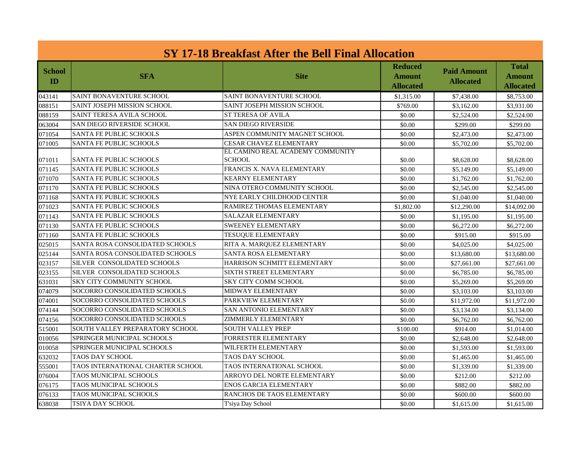| SY 17-18 Breakfast After the Bell Final Allocation |                                   |                                                   |                                              |                                        |                                            |
|----------------------------------------------------|-----------------------------------|---------------------------------------------------|----------------------------------------------|----------------------------------------|--------------------------------------------|
| <b>School</b><br>ID                                | <b>SFA</b>                        | <b>Site</b>                                       | Reduced<br><b>Amount</b><br><b>Allocated</b> | <b>Paid Amount</b><br><b>Allocated</b> | <b>Total</b><br>Amount<br><b>Allocated</b> |
| 043141                                             | <b>SAINT BONAVENTURE SCHOOL</b>   | <b>SAINT BONAVENTURE SCHOOL</b>                   | \$1,315.00                                   | \$7,438.00                             | \$8,753.00                                 |
| 088151                                             | SAINT JOSEPH MISSION SCHOOL       | SAINT JOSEPH MISSION SCHOOL                       | \$769.00                                     | \$3,162.00                             | \$3,931.00                                 |
| 088159                                             | SAINT TERESA AVILA SCHOOL         | <b>ST TERESA OF AVILA</b>                         | \$0.00                                       | \$2,524.00                             | \$2,524.00                                 |
| 063004                                             | SAN DIEGO RIVERSIDE SCHOOL        | <b>SAN DIEGO RIVERSIDE</b>                        | \$0.00                                       | \$299.00                               | \$299.00                                   |
| 071054                                             | <b>SANTA FE PUBLIC SCHOOLS</b>    | ASPEN COMMUNITY MAGNET SCHOOL                     | \$0.00                                       | \$2,473.00                             | \$2,473.00                                 |
| 071005                                             | SANTA FE PUBLIC SCHOOLS           | <b>CESAR CHAVEZ ELEMENTARY</b>                    | \$0.00                                       | \$5,702.00                             | \$5,702.00                                 |
| 071011                                             | SANTA FE PUBLIC SCHOOLS           | EL CAMINO REAL ACADEMY COMMUNITY<br><b>SCHOOL</b> | \$0.00                                       | \$8,628.00                             | \$8,628.00                                 |
| 071145                                             | <b>SANTA FE PUBLIC SCHOOLS</b>    | FRANCIS X. NAVA ELEMENTARY                        | \$0.00                                       | \$5,149.00                             | \$5,149.00                                 |
| 071070                                             | <b>SANTA FE PUBLIC SCHOOLS</b>    | <b>KEARNY ELEMENTARY</b>                          | \$0.00                                       | \$1,762.00                             | \$1,762.00                                 |
| 071170                                             | <b>SANTA FE PUBLIC SCHOOLS</b>    | NINA OTERO COMMUNITY SCHOOL                       | \$0.00                                       | \$2,545.00                             | \$2,545.00                                 |
| 071168                                             | SANTA FE PUBLIC SCHOOLS           | NYE EARLY CHILDHOOD CENTER                        | \$0.00                                       | \$1,040.00                             | \$1,040.00                                 |
| 071023                                             | SANTA FE PUBLIC SCHOOLS           | RAMIREZ THOMAS ELEMENTARY                         | \$1,802.00                                   | \$12,290.00                            | \$14,092.00                                |
| 071143                                             | SANTA FE PUBLIC SCHOOLS           | <b>SALAZAR ELEMENTARY</b>                         | \$0.00                                       | \$1,195.00                             | \$1,195.00                                 |
| 071130                                             | <b>SANTA FE PUBLIC SCHOOLS</b>    | <b>SWEENEY ELEMENTARY</b>                         | \$0.00                                       | \$6,272.00                             | \$6,272.00                                 |
| 071160                                             | SANTA FE PUBLIC SCHOOLS           | <b>TESUQUE ELEMENTARY</b>                         | \$0.00                                       | \$915.00                               | \$915.00                                   |
| 025015                                             | SANTA ROSA CONSOLIDATED SCHOOLS   | RITA A. MARQUEZ ELEMENTARY                        | \$0.00                                       | \$4,025.00                             | \$4,025.00                                 |
| 025144                                             | SANTA ROSA CONSOLIDATED SCHOOLS   | <b>SANTA ROSA ELEMENTARY</b>                      | \$0.00                                       | \$13,680.00                            | \$13,680.00                                |
| 023157                                             | SILVER CONSOLIDATED SCHOOLS       | HARRISON SCHMITT ELEMENTARY                       | \$0.00                                       | \$27,661.00                            | \$27,661.00                                |
| 023155                                             | SILVER CONSOLIDATED SCHOOLS       | SIXTH STREET ELEMENTARY                           | \$0.00                                       | \$6,785.00                             | \$6,785.00                                 |
| 631031                                             | <b>SKY CITY COMMUNITY SCHOOL</b>  | <b>SKY CITY COMM SCHOOL</b>                       | \$0.00                                       | \$5,269.00                             | \$5,269.00                                 |
| 074079                                             | SOCORRO CONSOLIDATED SCHOOLS      | <b>MIDWAY ELEMENTARY</b>                          | \$0.00                                       | \$3,103.00                             | \$3,103.00                                 |
| 074001                                             | SOCORRO CONSOLIDATED SCHOOLS      | PARKVIEW ELEMENTARY                               | \$0.00                                       | \$11,972.00                            | \$11,972.00                                |
| 074144                                             | SOCORRO CONSOLIDATED SCHOOLS      | SAN ANTONIO ELEMENTARY                            | \$0.00                                       | \$3,134.00                             | \$3,134.00                                 |
| 074156                                             | SOCORRO CONSOLIDATED SCHOOLS      | ZIMMERLY ELEMENTARY                               | \$0.00                                       | \$6,762.00                             | \$6,762.00                                 |
| 515001                                             | SOUTH VALLEY PREPARATORY SCHOOL   | <b>SOUTH VALLEY PREP</b>                          | \$100.00                                     | \$914.00                               | \$1,014.00                                 |
| 010056                                             | SPRINGER MUNICIPAL SCHOOLS        | FORRESTER ELEMENTARY                              | \$0.00                                       | \$2,648.00                             | \$2,648.00                                 |
| 010058                                             | SPRINGER MUNICIPAL SCHOOLS        | WILFERTH ELEMENTARY                               | \$0.00                                       | \$1,593.00                             | \$1,593.00                                 |
| 632032                                             | <b>TAOS DAY SCHOOL</b>            | TAOS DAY SCHOOL                                   | \$0.00                                       | \$1,465.00                             | \$1,465.00                                 |
| 555001                                             | TAOS INTERNATIONAL CHARTER SCHOOL | TAOS INTERNATIONAL SCHOOL                         | \$0.00                                       | \$1,339.00                             | \$1,339.00                                 |
| 076004                                             | TAOS MUNICIPAL SCHOOLS            | ARROYO DEL NORTE ELEMENTARY                       | \$0.00                                       | \$212.00                               | \$212.00                                   |
| 076175                                             | TAOS MUNICIPAL SCHOOLS            | <b>ENOS GARCIA ELEMENTARY</b>                     | \$0.00                                       | \$882.00                               | \$882.00                                   |
| 076133                                             | <b>TAOS MUNICIPAL SCHOOLS</b>     | RANCHOS DE TAOS ELEMENTARY                        | \$0.00                                       | \$600.00                               | \$600.00                                   |
| 638038                                             | TSIYA DAY SCHOOL                  | T'siya Day School                                 | \$0.00                                       | \$1,615.00                             | \$1,615.00                                 |